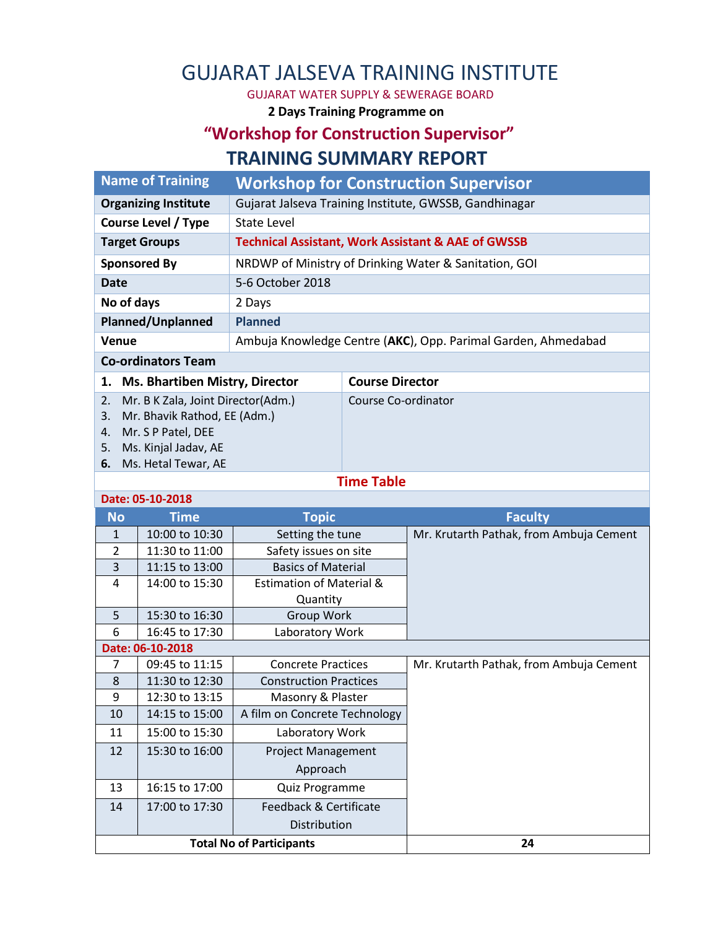# GUJARAT JALSEVA TRAINING INSTITUTE

GUJARAT WATER SUPPLY & SEWERAGE BOARD

**2 Days Training Programme on**

### **"Workshop for Construction Supervisor" TRAINING SUMMARY REPORT**

| <b>Name of Training</b>                     |                                                               | <b>Workshop for Construction Supervisor</b>            |  |  |  |
|---------------------------------------------|---------------------------------------------------------------|--------------------------------------------------------|--|--|--|
| <b>Organizing Institute</b>                 |                                                               | Gujarat Jalseva Training Institute, GWSSB, Gandhinagar |  |  |  |
| <b>Course Level / Type</b>                  | State Level                                                   |                                                        |  |  |  |
| <b>Target Groups</b>                        | <b>Technical Assistant, Work Assistant &amp; AAE of GWSSB</b> |                                                        |  |  |  |
| <b>Sponsored By</b>                         | NRDWP of Ministry of Drinking Water & Sanitation, GOI         |                                                        |  |  |  |
| Date                                        | 5-6 October 2018                                              |                                                        |  |  |  |
| No of days                                  | 2 Days                                                        |                                                        |  |  |  |
| Planned/Unplanned                           | <b>Planned</b>                                                |                                                        |  |  |  |
| <b>Venue</b>                                | Ambuja Knowledge Centre (AKC), Opp. Parimal Garden, Ahmedabad |                                                        |  |  |  |
| <b>Co-ordinators Team</b>                   |                                                               |                                                        |  |  |  |
| <b>Ms. Bhartiben Mistry, Director</b><br>1. |                                                               | <b>Course Director</b>                                 |  |  |  |
| Mr. B K Zala, Joint Director(Adm.)<br>2.    |                                                               | Course Co-ordinator                                    |  |  |  |
| Mr. Bhavik Rathod, EE (Adm.)<br>3.          |                                                               |                                                        |  |  |  |
| Mr. S P Patel, DEE<br>4.                    |                                                               |                                                        |  |  |  |

- 5. Ms. Kinjal Jadav, AE
- **6.** Ms. Hetal Tewar, AE

#### **Time Table**

|                                 | Date: 05-10-2018 |                                     |                                         |  |  |  |  |
|---------------------------------|------------------|-------------------------------------|-----------------------------------------|--|--|--|--|
| <b>No</b>                       | <b>Time</b>      | <b>Topic</b>                        | <b>Faculty</b>                          |  |  |  |  |
| 1                               | 10:00 to 10:30   | Setting the tune                    | Mr. Krutarth Pathak, from Ambuja Cement |  |  |  |  |
| $\overline{\phantom{a}}$        | 11:30 to 11:00   | Safety issues on site               |                                         |  |  |  |  |
| 3                               | 11:15 to 13:00   | <b>Basics of Material</b>           |                                         |  |  |  |  |
| 4                               | 14:00 to 15:30   | <b>Estimation of Material &amp;</b> |                                         |  |  |  |  |
|                                 |                  | Quantity                            |                                         |  |  |  |  |
| 5                               | 15:30 to 16:30   | Group Work                          |                                         |  |  |  |  |
| 6                               | 16:45 to 17:30   | Laboratory Work                     |                                         |  |  |  |  |
|                                 | Date: 06-10-2018 |                                     |                                         |  |  |  |  |
| 7                               | 09:45 to 11:15   | <b>Concrete Practices</b>           | Mr. Krutarth Pathak, from Ambuja Cement |  |  |  |  |
| 8                               | 11:30 to 12:30   | <b>Construction Practices</b>       |                                         |  |  |  |  |
| 9                               | 12:30 to 13:15   | Masonry & Plaster                   |                                         |  |  |  |  |
| 10                              | 14:15 to 15:00   | A film on Concrete Technology       |                                         |  |  |  |  |
| 11                              | 15:00 to 15:30   | Laboratory Work                     |                                         |  |  |  |  |
| 12                              | 15:30 to 16:00   | <b>Project Management</b>           |                                         |  |  |  |  |
|                                 |                  | Approach                            |                                         |  |  |  |  |
| 13                              | 16:15 to 17:00   | Quiz Programme                      |                                         |  |  |  |  |
| 14                              | 17:00 to 17:30   | Feedback & Certificate              |                                         |  |  |  |  |
|                                 |                  | Distribution                        |                                         |  |  |  |  |
| <b>Total No of Participants</b> |                  |                                     | 24                                      |  |  |  |  |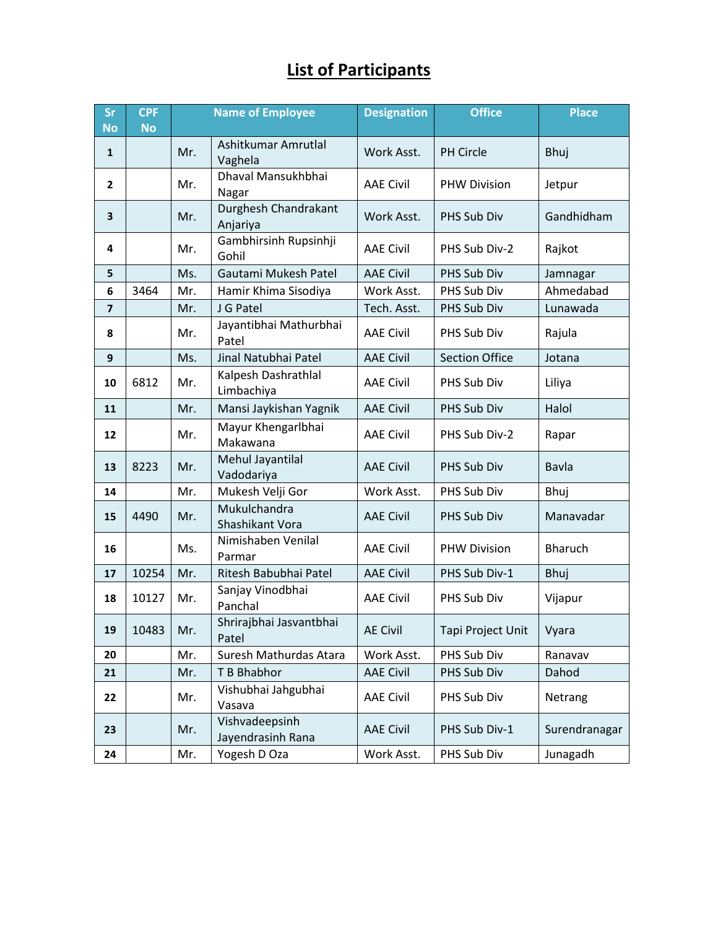## **List of Participants**

| <b>Sr</b><br><b>No</b>  | <b>CPF</b><br><b>No</b> | <b>Name of Employee</b> |                                     | <b>Designation</b> | <b>Office</b>         | <b>Place</b>   |
|-------------------------|-------------------------|-------------------------|-------------------------------------|--------------------|-----------------------|----------------|
| $\mathbf{1}$            |                         | Mr.                     | Ashitkumar Amrutlal<br>Vaghela      | Work Asst.         | PH Circle             | Bhuj           |
| $\overline{2}$          |                         | Mr.                     | Dhaval Mansukhbhai<br>Nagar         | <b>AAE Civil</b>   | <b>PHW Division</b>   | Jetpur         |
| 3                       |                         | Mr.                     | Durghesh Chandrakant<br>Anjariya    | Work Asst.         | PHS Sub Div           | Gandhidham     |
| 4                       |                         | Mr.                     | Gambhirsinh Rupsinhji<br>Gohil      | <b>AAE Civil</b>   | PHS Sub Div-2         | Rajkot         |
| 5                       |                         | Ms.                     | Gautami Mukesh Patel                | <b>AAE Civil</b>   | PHS Sub Div           | Jamnagar       |
| 6                       | 3464                    | Mr.                     | Hamir Khima Sisodiya                | Work Asst.         | PHS Sub Div           | Ahmedabad      |
| $\overline{\mathbf{z}}$ |                         | Mr.                     | J G Patel                           | Tech. Asst.        | PHS Sub Div           | Lunawada       |
| 8                       |                         | Mr.                     | Jayantibhai Mathurbhai<br>Patel     | <b>AAE Civil</b>   | PHS Sub Div           | Rajula         |
| 9                       |                         | Ms.                     | Jinal Natubhai Patel                | <b>AAE Civil</b>   | <b>Section Office</b> | Jotana         |
| 10                      | 6812                    | Mr.                     | Kalpesh Dashrathlal<br>Limbachiya   | <b>AAE Civil</b>   | PHS Sub Div           | Liliya         |
| 11                      |                         | Mr.                     | Mansi Jaykishan Yagnik              | <b>AAE Civil</b>   | PHS Sub Div           | Halol          |
| 12                      |                         | Mr.                     | Mayur Khengarlbhai<br>Makawana      | <b>AAE Civil</b>   | PHS Sub Div-2         | Rapar          |
| 13                      | 8223                    | Mr.                     | Mehul Jayantilal<br>Vadodariya      | <b>AAE Civil</b>   | PHS Sub Div           | Bavla          |
| 14                      |                         | Mr.                     | Mukesh Velji Gor                    | Work Asst.         | PHS Sub Div           | Bhuj           |
| 15                      | 4490                    | Mr.                     | Mukulchandra<br>Shashikant Vora     | <b>AAE Civil</b>   | PHS Sub Div           | Manavadar      |
| 16                      |                         | Ms.                     | Nimishaben Venilal<br>Parmar        | <b>AAE Civil</b>   | <b>PHW Division</b>   | <b>Bharuch</b> |
| 17                      | 10254                   | Mr.                     | Ritesh Babubhai Patel               | <b>AAE Civil</b>   | PHS Sub Div-1         | Bhuj           |
| 18                      | 10127                   | Mr.                     | Sanjay Vinodbhai<br>Panchal         | <b>AAE Civil</b>   | PHS Sub Div           | Vijapur        |
| 19                      | 10483                   | Mr.                     | Shrirajbhai Jasvantbhai<br>Patel    | <b>AE Civil</b>    | Tapi Project Unit     | Vyara          |
| 20                      |                         | Mr.                     | Suresh Mathurdas Atara              | Work Asst.         | PHS Sub Div           | Ranavav        |
| 21                      |                         | Mr.                     | T B Bhabhor                         | <b>AAE Civil</b>   | PHS Sub Div           | Dahod          |
| 22                      |                         | Mr.                     | Vishubhai Jahgubhai<br>Vasava       | <b>AAE Civil</b>   | PHS Sub Div           | Netrang        |
| 23                      |                         | Mr.                     | Vishvadeepsinh<br>Jayendrasinh Rana | <b>AAE Civil</b>   | PHS Sub Div-1         | Surendranagar  |
| 24                      |                         | Mr.                     | Yogesh D Oza                        | Work Asst.         | PHS Sub Div           | Junagadh       |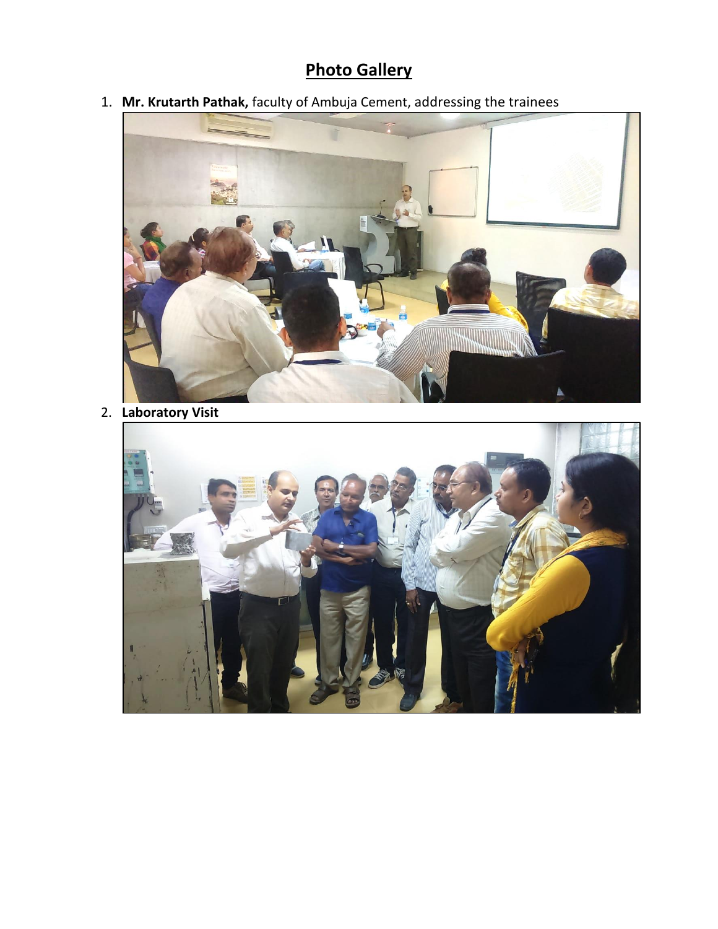## **Photo Gallery**

1. **Mr. Krutarth Pathak,** faculty of Ambuja Cement, addressing the trainees



2. **Laboratory Visit**